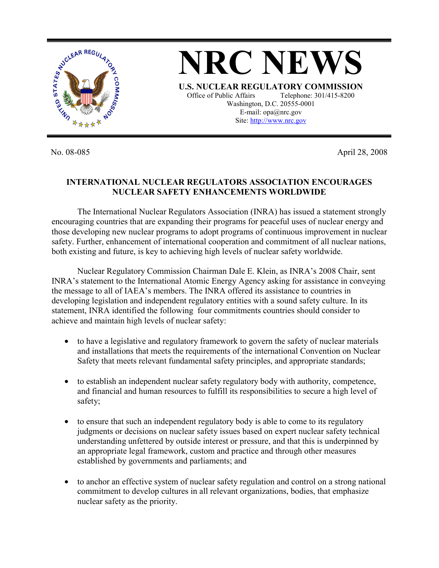

No. 08-085 April 28, 2008

## **INTERNATIONAL NUCLEAR REGULATORS ASSOCIATION ENCOURAGES NUCLEAR SAFETY ENHANCEMENTS WORLDWIDE**

The International Nuclear Regulators Association (INRA) has issued a statement strongly encouraging countries that are expanding their programs for peaceful uses of nuclear energy and those developing new nuclear programs to adopt programs of continuous improvement in nuclear safety. Further, enhancement of international cooperation and commitment of all nuclear nations, both existing and future, is key to achieving high levels of nuclear safety worldwide.

 Nuclear Regulatory Commission Chairman Dale E. Klein, as INRA's 2008 Chair, sent INRA's statement to the International Atomic Energy Agency asking for assistance in conveying the message to all of IAEA's members. The INRA offered its assistance to countries in developing legislation and independent regulatory entities with a sound safety culture. In its statement, INRA identified the following four commitments countries should consider to achieve and maintain high levels of nuclear safety:

- to have a legislative and regulatory framework to govern the safety of nuclear materials and installations that meets the requirements of the international Convention on Nuclear Safety that meets relevant fundamental safety principles, and appropriate standards;
- to establish an independent nuclear safety regulatory body with authority, competence, and financial and human resources to fulfill its responsibilities to secure a high level of safety;
- to ensure that such an independent regulatory body is able to come to its regulatory judgments or decisions on nuclear safety issues based on expert nuclear safety technical understanding unfettered by outside interest or pressure, and that this is underpinned by an appropriate legal framework, custom and practice and through other measures established by governments and parliaments; and
- to anchor an effective system of nuclear safety regulation and control on a strong national commitment to develop cultures in all relevant organizations, bodies, that emphasize nuclear safety as the priority.